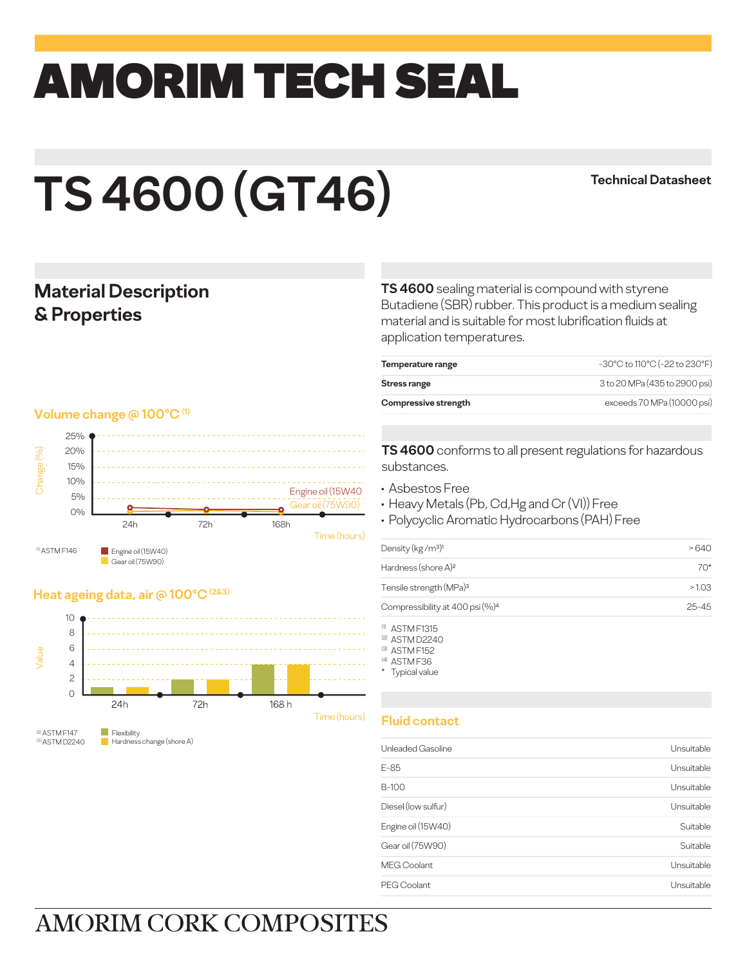## amorim TECH SEAL

# **TS 4600 (GT46)**

#### **Technical Datasheet**

#### **Material Description & Properties**

#### **Volume change @ 100°C (1)**



#### **Heat ageing data, air @ 100°C (2&3)**



(3) ASTM D2240 Hardness change (shore A)

**TS 4600** sealing material is compound with styrene Butadiene (SBR) rubber. This product is a medium sealing material and is suitable for most lubrification fluids at application temperatures.

| Temperature range    | -30°C to 110°C (-22 to 230°F) |
|----------------------|-------------------------------|
| Stress range         | 3 to 20 MPa (435 to 2900 psi) |
| Compressive strength | exceeds 70 MPa (10000 psi)    |

**TS 4600** conforms to all present regulations for hazardous substances.

- Asbestos Free
- Heavy Metals (Pb, Cd,Hg and Cr (VI)) Free
- Polycyclic Aromatic Hydrocarbons (PAH) Free

| Density (kg/m <sup>3)1</sup>                | -640      |
|---------------------------------------------|-----------|
| Hardness (shore A) <sup>2</sup>             | 70*       |
| Tensile strength (MPa) <sup>3</sup>         | >1.03     |
| Compressibility at 400 psi (%) <sup>4</sup> | $25 - 45$ |

(1) ASTM F1315

(2) ASTM D2240

(3) ASTM F152 (4) ASTM F36

\* Typical value

#### **Fluid contact**

| Unleaded Gasoline   | Unsuitable |
|---------------------|------------|
| $E-85$              | Unsuitable |
| B-100               | Unsuitable |
| Diesel (low sulfur) | Unsuitable |
| Engine oil (15W40)  | Suitable   |
| Gear oil (75W90)    | Suitable   |
| <b>MEG Coolant</b>  | Unsuitable |
| PEG Coolant         | Unsuitable |

## **AMORIM CORK COMPOSITES**